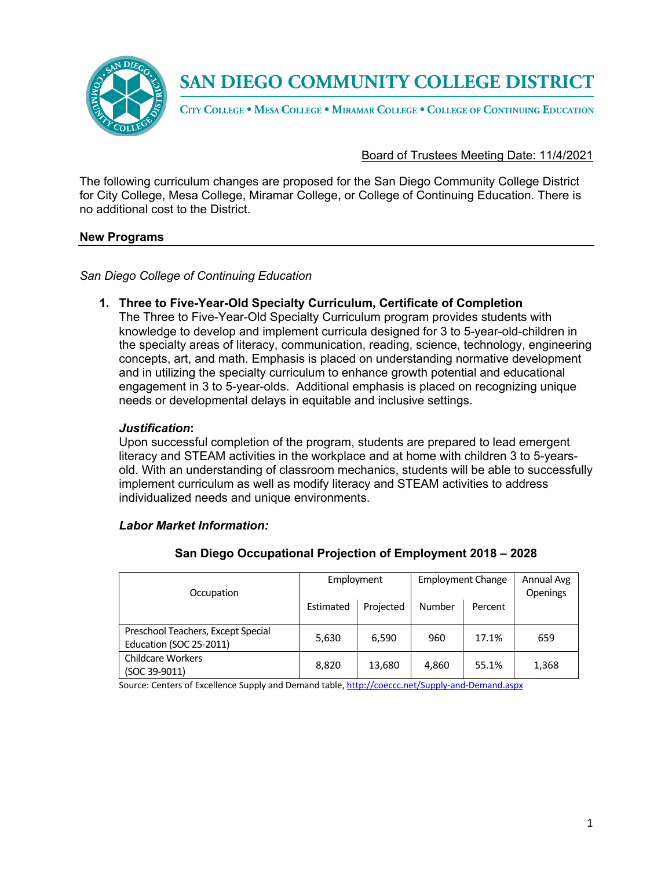

CITY COLLEGE . MESA COLLEGE . MIRAMAR COLLEGE . COLLEGE OF CONTINUING EDUCATION

## Board of Trustees Meeting Date: 11/4/2021

The following curriculum changes are proposed for the San Diego Community College District for City College, Mesa College, Miramar College, or College of Continuing Education. There is no additional cost to the District.

### **New Programs**

*San Diego College of Continuing Education*

## **1. Three to Five-Year-Old Specialty Curriculum, Certificate of Completion**

The Three to Five-Year-Old Specialty Curriculum program provides students with knowledge to develop and implement curricula designed for 3 to 5-year-old-children in the specialty areas of literacy, communication, reading, science, technology, engineering concepts, art, and math. Emphasis is placed on understanding normative development and in utilizing the specialty curriculum to enhance growth potential and educational engagement in 3 to 5-year-olds. Additional emphasis is placed on recognizing unique needs or developmental delays in equitable and inclusive settings.

## *Justification***:**

Upon successful completion of the program, students are prepared to lead emergent literacy and STEAM activities in the workplace and at home with children 3 to 5-yearsold. With an understanding of classroom mechanics, students will be able to successfully implement curriculum as well as modify literacy and STEAM activities to address individualized needs and unique environments.

### *Labor Market Information:*

| Occupation                                                    | Employment |           | <b>Employment Change</b> |         | Annual Avg<br>Openings |
|---------------------------------------------------------------|------------|-----------|--------------------------|---------|------------------------|
|                                                               | Estimated  | Projected | Number                   | Percent |                        |
| Preschool Teachers, Except Special<br>Education (SOC 25-2011) | 5,630      | 6.590     | 960                      | 17.1%   | 659                    |
| <b>Childcare Workers</b><br>(SOC 39-9011)                     | 8,820      | 13,680    | 4,860                    | 55.1%   | 1,368                  |

### **San Diego Occupational Projection of Employment 2018 – 2028**

Source: Centers of Excellence Supply and Demand table, http://coeccc.net/Supply-and-Demand.aspx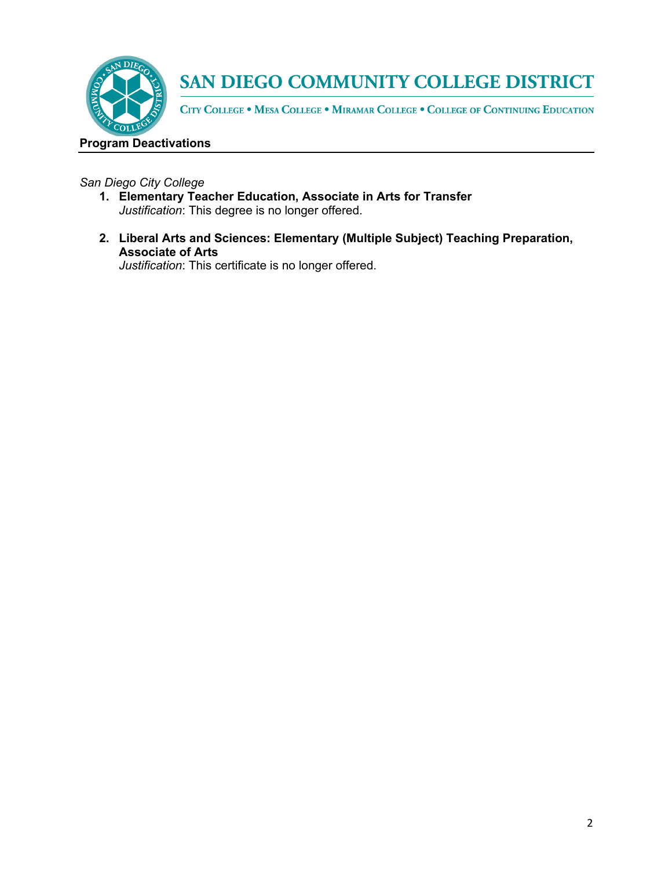

CITY COLLEGE . MESA COLLEGE . MIRAMAR COLLEGE . COLLEGE OF CONTINUING EDUCATION

## **Program Deactivations**

## *San Diego City College*

- **1. Elementary Teacher Education, Associate in Arts for Transfer**  *Justification*: This degree is no longer offered.
- **2. Liberal Arts and Sciences: Elementary (Multiple Subject) Teaching Preparation, Associate of Arts**

*Justification*: This certificate is no longer offered.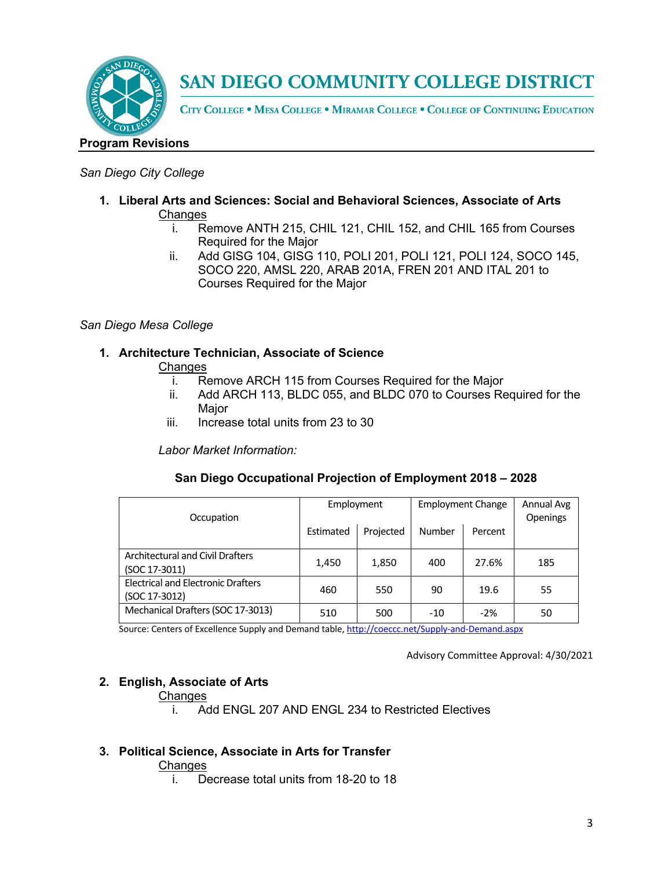

CITY COLLEGE . MESA COLLEGE . MIRAMAR COLLEGE . COLLEGE OF CONTINUING EDUCATION

## **Program Revisions**

## *San Diego City College*

- **1. Liberal Arts and Sciences: Social and Behavioral Sciences, Associate of Arts Changes** 
	- i. Remove ANTH 215, CHIL 121, CHIL 152, and CHIL 165 from Courses Required for the Major
	- ii. Add GISG 104, GISG 110, POLI 201, POLI 121, POLI 124, SOCO 145, SOCO 220, AMSL 220, ARAB 201A, FREN 201 AND ITAL 201 to Courses Required for the Major

## *San Diego Mesa College*

## **1. Architecture Technician, Associate of Science**

### **Changes**

- i. Remove ARCH 115 from Courses Required for the Major
- ii. Add ARCH 113, BLDC 055, and BLDC 070 to Courses Required for the Major
- iii. Increase total units from 23 to 30

*Labor Market Information:*

## **San Diego Occupational Projection of Employment 2018 – 2028**

| Occupation                                                 | Employment |           | <b>Employment Change</b> |         | Annual Avg<br>Openings |
|------------------------------------------------------------|------------|-----------|--------------------------|---------|------------------------|
|                                                            | Estimated  | Projected | Number                   | Percent |                        |
| <b>Architectural and Civil Drafters</b><br>(SOC 17-3011)   | 1,450      | 1,850     | 400                      | 27.6%   | 185                    |
| <b>Electrical and Electronic Drafters</b><br>(SOC 17-3012) | 460        | 550       | 90                       | 19.6    | 55                     |
| Mechanical Drafters (SOC 17-3013)                          | 510        | 500       | $-10$                    | $-2%$   | 50                     |

Source: Centers of Excellence Supply and Demand table, http://coeccc.net/Supply-and-Demand.aspx

Advisory Committee Approval: 4/30/2021

## **2. English, Associate of Arts**

### **Changes**

i. Add ENGL 207 AND ENGL 234 to Restricted Electives

## **3. Political Science, Associate in Arts for Transfer**

### **Changes**

i. Decrease total units from 18-20 to 18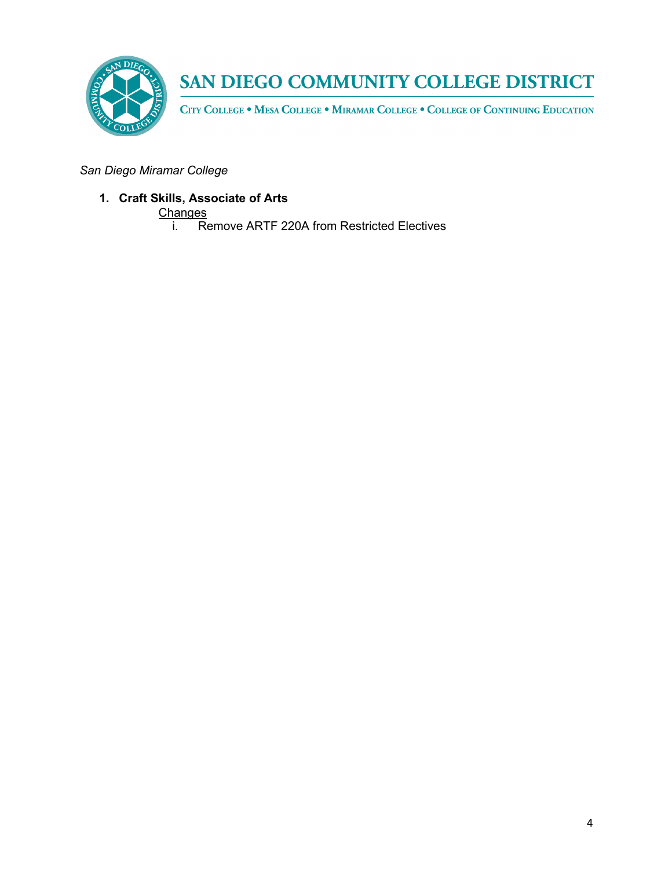

CITY COLLEGE . MESA COLLEGE . MIRAMAR COLLEGE . COLLEGE OF CONTINUING EDUCATION

*San Diego Miramar College*

**1. Craft Skills, Associate of Arts** 

Changes<br>i. Re

**EXECUTE:** Remove ARTF 220A from Restricted Electives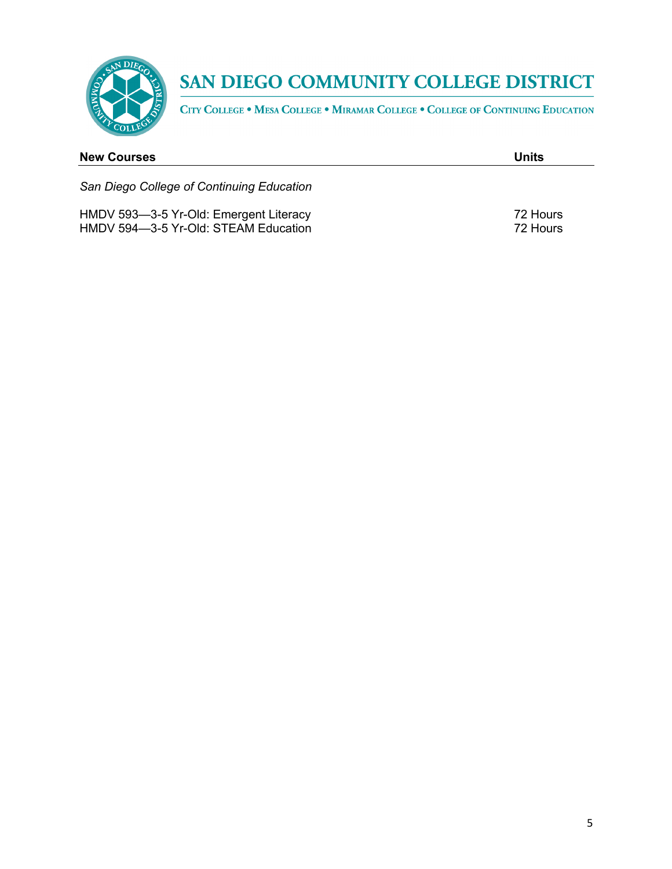

CITY COLLEGE . MESA COLLEGE . MIRAMAR COLLEGE . COLLEGE OF CONTINUING EDUCATION

| <b>New Courses</b>                              | Units      |
|-------------------------------------------------|------------|
| San Diego College of Continuing Education       |            |
| $HMON$ 503 $-3$ -5 $Yr$ -Old: Emergent Literacy | $72$ Houre |

HMDV 593—3-5 Yr-Old: Emergent Literacy **1988** The Second Literacy **72 Hours** HMDV 594-3-5 Yr-Old: STEAM Education 72 Hours